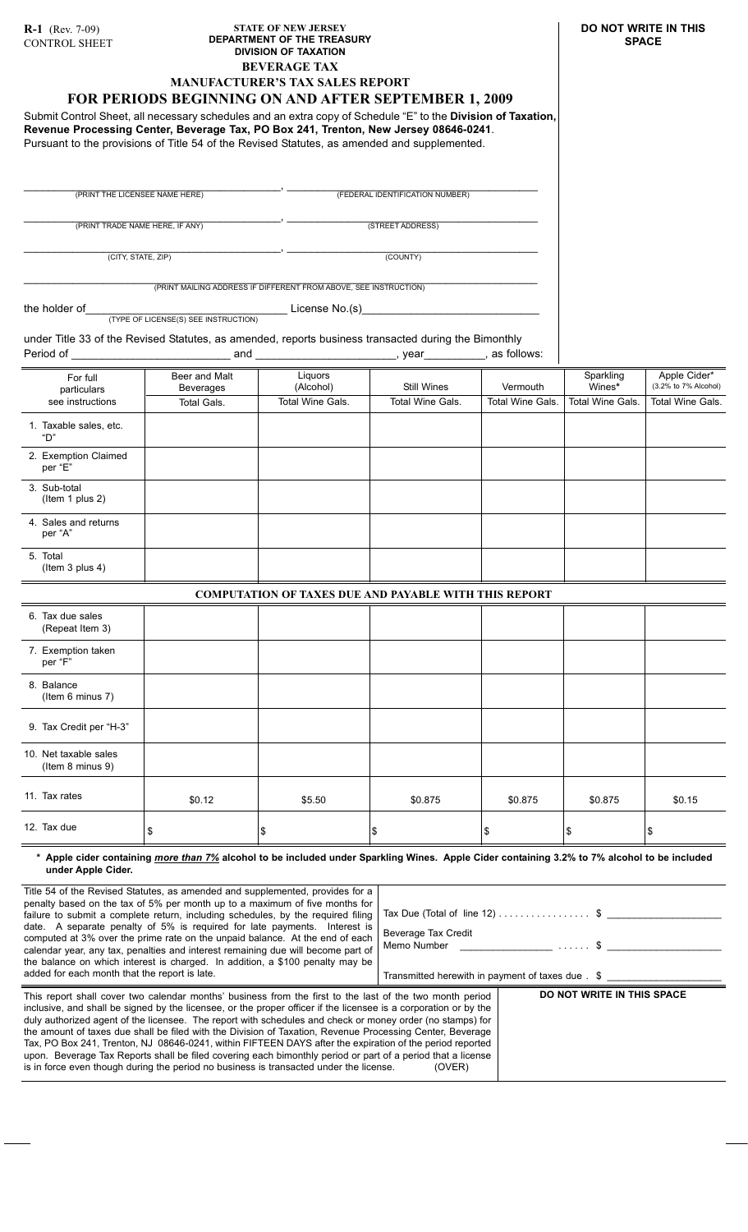## **STATE OF NEW JERSEY DEPARTMENT OF THE TREASURY DIVISION OF TAXATION BEVERAGE TAX MANUFACTURER'S TAX SALES REPORT**

# **FOR PERIODS BEGINNING ON AND AFTER SEPTEMBER 1, 2009**

Submit Control Sheet, all necessary schedules and an extra copy of Schedule "E" to the **Division of Taxation, Revenue Processing Center, Beverage Tax, PO Box 241, Trenton, New Jersey 08646-0241**. Pursuant to the provisions of Title 54 of the Revised Statutes, as amended and supplemented.

\_\_\_\_\_\_\_\_\_\_\_\_\_\_\_\_\_\_\_\_\_\_\_\_\_\_\_\_\_\_\_\_\_\_\_\_\_\_\_\_\_\_, \_\_\_\_\_\_\_\_\_\_\_\_\_\_\_\_\_\_\_\_\_\_\_\_\_\_\_\_\_\_\_\_\_\_\_\_\_\_\_\_\_ (PRINT THE LICENSEE NAME HERE) (FEDERAL IDENTIFICATION NUMBER)

\_\_\_\_\_\_\_\_\_\_\_\_\_\_\_\_\_\_\_\_\_\_\_\_\_\_\_\_\_\_\_\_\_\_\_\_\_\_\_\_\_\_, \_\_\_\_\_\_\_\_\_\_\_\_\_\_\_\_\_\_\_\_\_\_\_\_\_\_\_\_\_\_\_\_\_\_\_\_\_\_\_\_\_ (PRINT TRADE NAME HERE, IF ANY) (STREET ADDRESS)

\_\_\_\_\_\_\_\_\_\_\_\_\_\_\_\_\_\_\_\_\_\_\_\_\_\_\_\_\_\_\_\_\_\_\_\_\_\_\_\_\_\_, \_\_\_\_\_\_\_\_\_\_\_\_\_\_\_\_\_\_\_\_\_\_\_\_\_\_\_\_\_\_\_\_\_\_\_\_\_\_\_\_\_

(CITY, STATE, ZIP) (COUNTY)

\_\_\_\_\_\_\_\_\_\_\_\_\_\_\_\_\_\_\_\_\_\_\_\_\_\_\_\_\_\_\_\_\_\_\_\_\_\_\_\_\_\_\_\_\_\_\_\_\_\_\_\_\_\_\_\_\_\_\_\_\_\_\_\_\_\_\_\_\_\_\_\_\_\_\_\_\_\_\_\_\_\_\_\_ (PRINT MAILING ADDRESS IF DIFFERENT FROM ABOVE, SEE INSTRUCTION)

12. Tax due

the holder of\_\_\_\_\_\_\_\_\_\_\_\_\_\_\_\_\_\_\_\_\_\_\_\_\_\_\_\_\_\_\_\_\_ License No.(s)\_\_\_\_\_\_\_\_\_\_\_\_\_\_\_\_\_\_\_\_\_\_\_\_\_\_\_\_\_ (TYPE OF LICENSE(S) SEE INSTRUCTION)

\$0.12

\$

under Title 33 of the Revised Statutes, as amended, reports business transacted during the Bimonthly Period of \_\_\_\_\_\_\_\_\_\_\_\_\_\_\_\_\_\_\_\_\_\_\_\_\_\_ and \_\_\_\_\_\_\_\_\_\_\_\_\_\_\_\_\_\_\_\_\_\_\_, year\_\_\_\_\_\_\_\_\_\_, as follows:

| For full<br>particulars                   | Beer and Malt<br>Beverages | Liquors<br>(Alcohol)                                         | Still Wines             | Vermouth                | Sparkling<br>Wines*     | Apple Cider*<br>(3.2% to 7% Alcohol) |
|-------------------------------------------|----------------------------|--------------------------------------------------------------|-------------------------|-------------------------|-------------------------|--------------------------------------|
| see instructions                          | Total Gals.                | <b>Total Wine Gals.</b>                                      | <b>Total Wine Gals.</b> | <b>Total Wine Gals.</b> | <b>Total Wine Gals.</b> | <b>Total Wine Gals.</b>              |
| 1. Taxable sales, etc.<br>"D"             |                            |                                                              |                         |                         |                         |                                      |
| 2. Exemption Claimed<br>per "E"           |                            |                                                              |                         |                         |                         |                                      |
| 3. Sub-total<br>(Item 1 plus 2)           |                            |                                                              |                         |                         |                         |                                      |
| 4. Sales and returns<br>per "A"           |                            |                                                              |                         |                         |                         |                                      |
| 5. Total<br>(Item 3 plus 4)               |                            |                                                              |                         |                         |                         |                                      |
|                                           |                            | <b>COMPUTATION OF TAXES DUE AND PAYABLE WITH THIS REPORT</b> |                         |                         |                         |                                      |
| 6. Tax due sales<br>(Repeat Item 3)       |                            |                                                              |                         |                         |                         |                                      |
| 7. Exemption taken<br>per "F"             |                            |                                                              |                         |                         |                         |                                      |
| 8. Balance<br>(Item 6 minus 7)            |                            |                                                              |                         |                         |                         |                                      |
| 9. Tax Credit per "H-3"                   |                            |                                                              |                         |                         |                         |                                      |
| 10. Net taxable sales<br>(Item 8 minus 9) |                            |                                                              |                         |                         |                         |                                      |
| 11. Tax rates                             | <b>¢∩ 12</b>               | ፍፍ ፍሰ                                                        | <b>CO 875</b>           | <b>CO 875</b>           | <b>CO 875</b>           | CD15                                 |

**\* Apple cider containing** *more than 7%* **alcohol to be included under Sparkling Wines. Apple Cider containing 3.2% to 7% alcohol to be included under Apple Cider.**

\$

\$0.875

\$0.875

\$0.875

\$0.15

\$

\$

\$

\$5.50

\$

| Title 54 of the Revised Statutes, as amended and supplemented, provides for a<br>penalty based on the tax of 5% per month up to a maximum of five months for<br>failure to submit a complete return, including schedules, by the required filing<br>date. A separate penalty of 5% is required for late payments. Interest is<br>computed at 3% over the prime rate on the unpaid balance. At the end of each<br>calendar year, any tax, penalties and interest remaining due will become part of<br>the balance on which interest is charged. In addition, a \$100 penalty may be<br>added for each month that the report is late.                                                                                                                                         | Beverage Tax Credit | Tax Due (Total of line 12) $\dots \dots \dots \dots$ \$<br>Memo Number 2008 and 2008 and 30 and 30 and 30 and 30 and 30 and 30 and 30 and 30 and 30 and 30 and 30 and 30 and 30 and 30 and 30 and 30 and 30 and 30 and 30 and 30 and 30 and 30 and 30 and 30 and 30 and 30 and 30 and 30<br>Transmitted herewith in payment of taxes due . \$ |
|-----------------------------------------------------------------------------------------------------------------------------------------------------------------------------------------------------------------------------------------------------------------------------------------------------------------------------------------------------------------------------------------------------------------------------------------------------------------------------------------------------------------------------------------------------------------------------------------------------------------------------------------------------------------------------------------------------------------------------------------------------------------------------|---------------------|-----------------------------------------------------------------------------------------------------------------------------------------------------------------------------------------------------------------------------------------------------------------------------------------------------------------------------------------------|
| This report shall cover two calendar months' business from the first to the last of the two month period<br>inclusive, and shall be signed by the licensee, or the proper officer if the licensee is a corporation or by the<br>duly authorized agent of the licensee. The report with schedules and check or money order (no stamps) for<br>the amount of taxes due shall be filed with the Division of Taxation, Revenue Processing Center, Beverage<br>Tax, PO Box 241, Trenton, NJ 08646-0241, within FIFTEEN DAYS after the expiration of the period reported<br>upon. Beverage Tax Reports shall be filed covering each bimonthly period or part of a period that a license<br>is in force even though during the period no business is transacted under the license. | (OVER)              | DO NOT WRITE IN THIS SPACE                                                                                                                                                                                                                                                                                                                    |